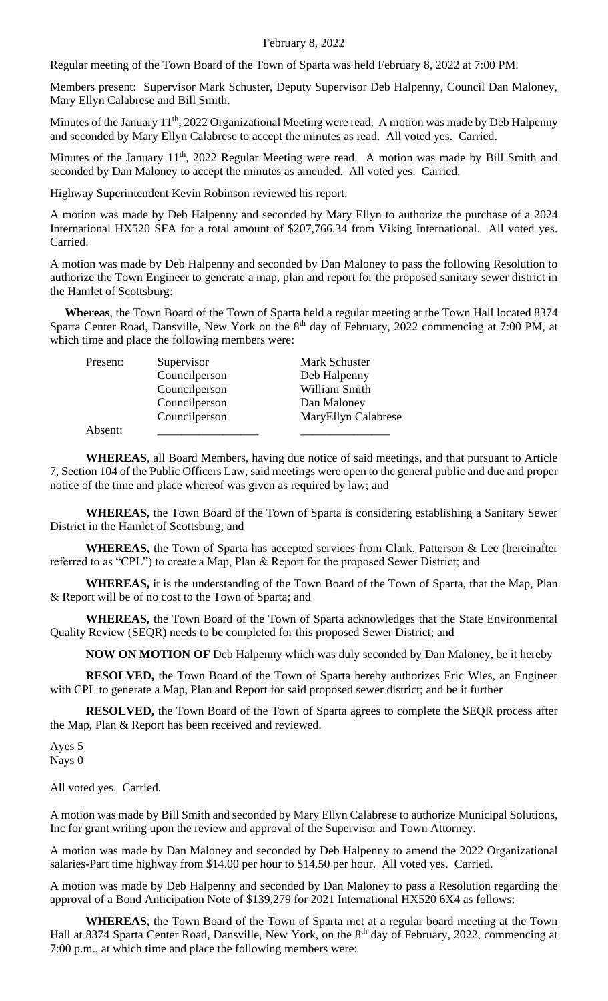Regular meeting of the Town Board of the Town of Sparta was held February 8, 2022 at 7:00 PM.

Members present: Supervisor Mark Schuster, Deputy Supervisor Deb Halpenny, Council Dan Maloney, Mary Ellyn Calabrese and Bill Smith.

Minutes of the January 11<sup>th</sup>, 2022 Organizational Meeting were read. A motion was made by Deb Halpenny and seconded by Mary Ellyn Calabrese to accept the minutes as read. All voted yes. Carried.

Minutes of the January 11<sup>th</sup>, 2022 Regular Meeting were read. A motion was made by Bill Smith and seconded by Dan Maloney to accept the minutes as amended. All voted yes. Carried.

Highway Superintendent Kevin Robinson reviewed his report.

A motion was made by Deb Halpenny and seconded by Mary Ellyn to authorize the purchase of a 2024 International HX520 SFA for a total amount of \$207,766.34 from Viking International. All voted yes. Carried.

A motion was made by Deb Halpenny and seconded by Dan Maloney to pass the following Resolution to authorize the Town Engineer to generate a map, plan and report for the proposed sanitary sewer district in the Hamlet of Scottsburg:

 **Whereas**, the Town Board of the Town of Sparta held a regular meeting at the Town Hall located 8374 Sparta Center Road, Dansville, New York on the 8<sup>th</sup> day of February, 2022 commencing at 7:00 PM, at which time and place the following members were:

| Present: | Supervisor    | Mark Schuster       |
|----------|---------------|---------------------|
|          | Councilperson | Deb Halpenny        |
|          | Councilperson | William Smith       |
|          | Councilperson | Dan Maloney         |
|          | Councilperson | MaryEllyn Calabrese |
| Absent:  |               |                     |

**WHEREAS**, all Board Members, having due notice of said meetings, and that pursuant to Article 7, Section 104 of the Public Officers Law, said meetings were open to the general public and due and proper notice of the time and place whereof was given as required by law; and

**WHEREAS,** the Town Board of the Town of Sparta is considering establishing a Sanitary Sewer District in the Hamlet of Scottsburg; and

**WHEREAS,** the Town of Sparta has accepted services from Clark, Patterson & Lee (hereinafter referred to as "CPL") to create a Map, Plan & Report for the proposed Sewer District; and

**WHEREAS,** it is the understanding of the Town Board of the Town of Sparta, that the Map, Plan & Report will be of no cost to the Town of Sparta; and

**WHEREAS,** the Town Board of the Town of Sparta acknowledges that the State Environmental Quality Review (SEQR) needs to be completed for this proposed Sewer District; and

**NOW ON MOTION OF** Deb Halpenny which was duly seconded by Dan Maloney, be it hereby

**RESOLVED,** the Town Board of the Town of Sparta hereby authorizes Eric Wies, an Engineer with CPL to generate a Map, Plan and Report for said proposed sewer district; and be it further

**RESOLVED,** the Town Board of the Town of Sparta agrees to complete the SEQR process after the Map, Plan & Report has been received and reviewed.

Ayes 5 Nays 0

All voted yes. Carried.

A motion was made by Bill Smith and seconded by Mary Ellyn Calabrese to authorize Municipal Solutions, Inc for grant writing upon the review and approval of the Supervisor and Town Attorney.

A motion was made by Dan Maloney and seconded by Deb Halpenny to amend the 2022 Organizational salaries-Part time highway from \$14.00 per hour to \$14.50 per hour. All voted yes. Carried.

A motion was made by Deb Halpenny and seconded by Dan Maloney to pass a Resolution regarding the approval of a Bond Anticipation Note of \$139,279 for 2021 International HX520 6X4 as follows:

**WHEREAS,** the Town Board of the Town of Sparta met at a regular board meeting at the Town Hall at 8374 Sparta Center Road, Dansville, New York, on the 8<sup>th</sup> day of February, 2022, commencing at 7:00 p.m., at which time and place the following members were: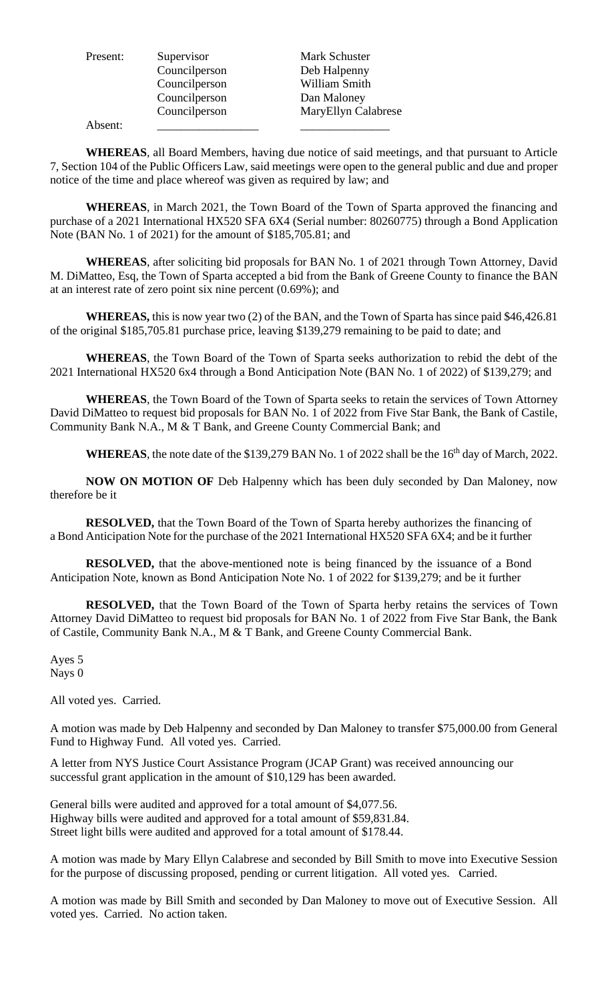| Present: | Supervisor    | Mark Schuster       |
|----------|---------------|---------------------|
|          | Councilperson | Deb Halpenny        |
|          | Councilperson | William Smith       |
|          | Councilperson | Dan Maloney         |
|          | Councilperson | MaryEllyn Calabrese |
| Absent:  |               |                     |

**WHEREAS**, all Board Members, having due notice of said meetings, and that pursuant to Article 7, Section 104 of the Public Officers Law, said meetings were open to the general public and due and proper notice of the time and place whereof was given as required by law; and

**WHEREAS**, in March 2021, the Town Board of the Town of Sparta approved the financing and purchase of a 2021 International HX520 SFA 6X4 (Serial number: 80260775) through a Bond Application Note (BAN No. 1 of 2021) for the amount of \$185,705.81; and

**WHEREAS**, after soliciting bid proposals for BAN No. 1 of 2021 through Town Attorney, David M. DiMatteo, Esq, the Town of Sparta accepted a bid from the Bank of Greene County to finance the BAN at an interest rate of zero point six nine percent (0.69%); and

**WHEREAS,** this is now year two (2) of the BAN, and the Town of Sparta has since paid \$46,426.81 of the original \$185,705.81 purchase price, leaving \$139,279 remaining to be paid to date; and

**WHEREAS**, the Town Board of the Town of Sparta seeks authorization to rebid the debt of the 2021 International HX520 6x4 through a Bond Anticipation Note (BAN No. 1 of 2022) of \$139,279; and

**WHEREAS**, the Town Board of the Town of Sparta seeks to retain the services of Town Attorney David DiMatteo to request bid proposals for BAN No. 1 of 2022 from Five Star Bank, the Bank of Castile, Community Bank N.A., M & T Bank, and Greene County Commercial Bank; and

WHEREAS, the note date of the \$139,279 BAN No. 1 of 2022 shall be the 16<sup>th</sup> day of March, 2022.

**NOW ON MOTION OF** Deb Halpenny which has been duly seconded by Dan Maloney, now therefore be it

**RESOLVED,** that the Town Board of the Town of Sparta hereby authorizes the financing of a Bond Anticipation Note for the purchase of the 2021 International HX520 SFA 6X4; and be it further

**RESOLVED,** that the above-mentioned note is being financed by the issuance of a Bond Anticipation Note, known as Bond Anticipation Note No. 1 of 2022 for \$139,279; and be it further

**RESOLVED,** that the Town Board of the Town of Sparta herby retains the services of Town Attorney David DiMatteo to request bid proposals for BAN No. 1 of 2022 from Five Star Bank, the Bank of Castile, Community Bank N.A., M & T Bank, and Greene County Commercial Bank.

Ayes 5 Nays 0

All voted yes. Carried.

A motion was made by Deb Halpenny and seconded by Dan Maloney to transfer \$75,000.00 from General Fund to Highway Fund. All voted yes. Carried.

A letter from NYS Justice Court Assistance Program (JCAP Grant) was received announcing our successful grant application in the amount of \$10,129 has been awarded.

General bills were audited and approved for a total amount of \$4,077.56. Highway bills were audited and approved for a total amount of \$59,831.84. Street light bills were audited and approved for a total amount of \$178.44.

A motion was made by Mary Ellyn Calabrese and seconded by Bill Smith to move into Executive Session for the purpose of discussing proposed, pending or current litigation. All voted yes. Carried.

A motion was made by Bill Smith and seconded by Dan Maloney to move out of Executive Session. All voted yes. Carried. No action taken.